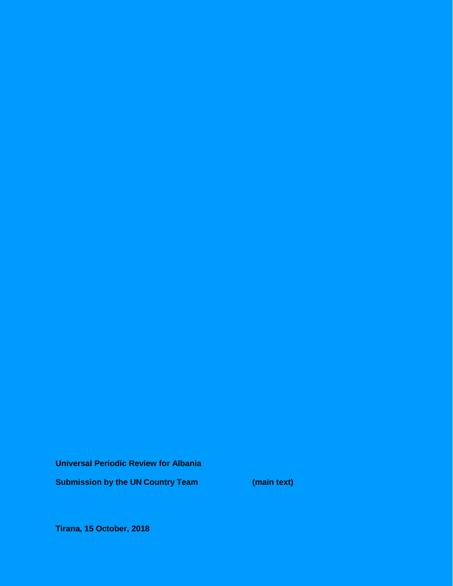**Universal Periodic Review for Albania**

**Submission by the UN Country Team (main text)**

**Tirana, 15 October, 2018**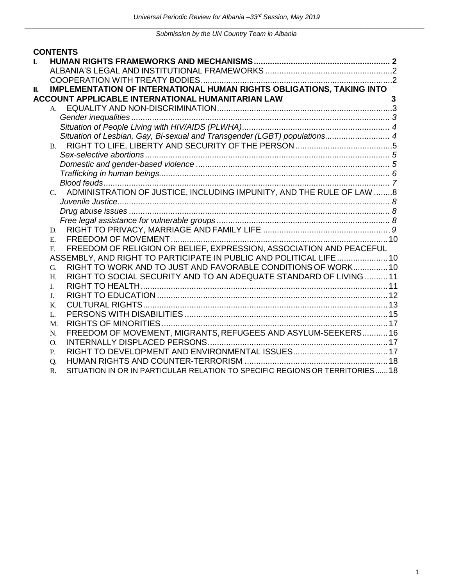|    |             | <b>CONTENTS</b>                                                              |              |
|----|-------------|------------------------------------------------------------------------------|--------------|
| L  |             |                                                                              |              |
|    |             |                                                                              |              |
|    |             |                                                                              |              |
| Ш. |             | <b>IMPLEMENTATION OF INTERNATIONAL HUMAN RIGHTS OBLIGATIONS, TAKING INTO</b> |              |
|    |             | <b>ACCOUNT APPLICABLE INTERNATIONAL HUMANITARIAN LAW</b>                     | $\mathbf{3}$ |
|    | А.          |                                                                              |              |
|    |             |                                                                              |              |
|    |             |                                                                              |              |
|    |             | Situation of Lesbian, Gay, Bi-sexual and Transgender (LGBT) populations 4    |              |
|    | <b>B.</b>   |                                                                              |              |
|    |             |                                                                              |              |
|    |             |                                                                              |              |
|    |             |                                                                              |              |
|    |             |                                                                              |              |
|    |             | C. ADMINISTRATION OF JUSTICE, INCLUDING IMPUNITY, AND THE RULE OF LAW 8      |              |
|    |             |                                                                              |              |
|    |             |                                                                              |              |
|    |             |                                                                              |              |
|    | D.          |                                                                              |              |
|    | $E_{\rm c}$ |                                                                              |              |
|    | $F_{\cdot}$ | FREEDOM OF RELIGION OR BELIEF, EXPRESSION, ASSOCIATION AND PEACEFUL          |              |
|    |             | ASSEMBLY, AND RIGHT TO PARTICIPATE IN PUBLIC AND POLITICAL LIFE  10          |              |
|    | G.          | RIGHT TO WORK AND TO JUST AND FAVORABLE CONDITIONS OF WORK10                 |              |
|    | H.          | RIGHT TO SOCIAL SECURITY AND TO AN ADEQUATE STANDARD OF LIVING 11            |              |
|    | I.          |                                                                              |              |
|    | J.          |                                                                              |              |
|    | K.<br>L.    |                                                                              |              |
|    | M.          |                                                                              |              |
|    | N.          | FREEDOM OF MOVEMENT, MIGRANTS, REFUGEES AND ASYLUM-SEEKERS 16                |              |
|    | O.          |                                                                              |              |
|    | P.          |                                                                              |              |
|    | Q.          |                                                                              |              |
|    | $R_{\cdot}$ | SITUATION IN OR IN PARTICULAR RELATION TO SPECIFIC REGIONS OR TERRITORIES18  |              |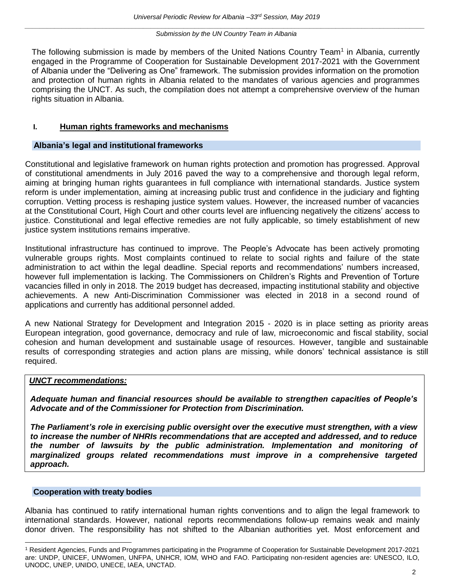The following submission is made by members of the United Nations Country Team<sup>1</sup> in Albania, currently engaged in the Programme of Cooperation for Sustainable Development 2017-2021 with the Government of Albania under the "Delivering as One" framework. The submission provides information on the promotion and protection of human rights in Albania related to the mandates of various agencies and programmes comprising the UNCT. As such, the compilation does not attempt a comprehensive overview of the human rights situation in Albania.

## <span id="page-2-0"></span>**I. Human rights frameworks and mechanisms**

#### <span id="page-2-1"></span>**Albania's legal and institutional frameworks**

Constitutional and legislative framework on human rights protection and promotion has progressed. Approval of constitutional amendments in July 2016 paved the way to a comprehensive and thorough legal reform, aiming at bringing human rights guarantees in full compliance with international standards. Justice system reform is under implementation, aiming at increasing public trust and confidence in the judiciary and fighting corruption. Vetting process is reshaping justice system values. However, the increased number of vacancies at the Constitutional Court, High Court and other courts level are influencing negatively the citizens' access to justice. Constitutional and legal effective remedies are not fully applicable, so timely establishment of new justice system institutions remains imperative.

Institutional infrastructure has continued to improve. The People's Advocate has been actively promoting vulnerable groups rights. Most complaints continued to relate to social rights and failure of the state administration to act within the legal deadline. Special reports and recommendations' numbers increased, however full implementation is lacking. The Commissioners on Children's Rights and Prevention of Torture vacancies filled in only in 2018. The 2019 budget has decreased, impacting institutional stability and objective achievements. A new Anti-Discrimination Commissioner was elected in 2018 in a second round of applications and currently has additional personnel added.

A new National Strategy for Development and Integration 2015 - 2020 is in place setting as priority areas European integration, good governance, democracy and rule of law, microeconomic and fiscal stability, social cohesion and human development and sustainable usage of resources. However, tangible and sustainable results of corresponding strategies and action plans are missing, while donors' technical assistance is still required.

#### <span id="page-2-2"></span>*UNCT recommendations:*

*Adequate human and financial resources should be available to strengthen capacities of People's Advocate and of the Commissioner for Protection from Discrimination.* 

*The Parliament's role in exercising public oversight over the executive must strengthen, with a view to increase the number of NHRIs recommendations that are accepted and addressed, and to reduce the number of lawsuits by the public administration. Implementation and monitoring of marginalized groups related recommendations must improve in a comprehensive targeted approach.*

#### **Cooperation with treaty bodies**

 $\overline{a}$ 

Albania has continued to ratify international human rights conventions and to align the legal framework to international standards. However, national reports recommendations follow-up remains weak and mainly donor driven. The responsibility has not shifted to the Albanian authorities yet. Most enforcement and

<sup>1</sup> Resident Agencies, Funds and Programmes participating in the Programme of Cooperation for Sustainable Development 2017-2021 are: UNDP, UNICEF, UNWomen, UNFPA, UNHCR, IOM, WHO and FAO. Participating non-resident agencies are: UNESCO, ILO, UNODC, UNEP, UNIDO, UNECE, IAEA, UNCTAD.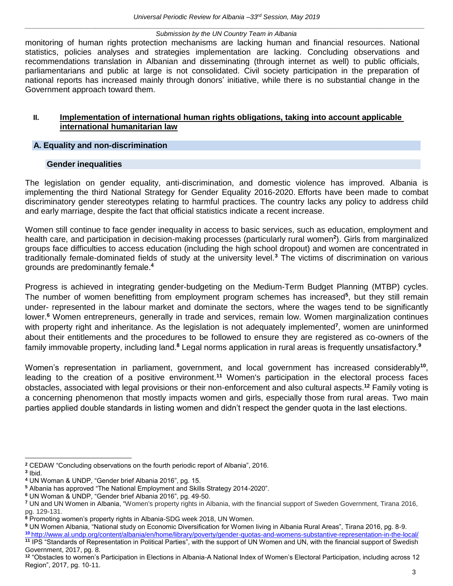monitoring of human rights protection mechanisms are lacking human and financial resources. National statistics, policies analyses and strategies implementation are lacking. Concluding observations and recommendations translation in Albanian and disseminating (through internet as well) to public officials, parliamentarians and public at large is not consolidated. Civil society participation in the preparation of national reports has increased mainly through donors' initiative, while there is no substantial change in the Government approach toward them.

## <span id="page-3-0"></span>**II. Implementation of international human rights obligations, taking into account applicable international humanitarian law**

#### <span id="page-3-1"></span>**A. Equality and non-discrimination**

#### **Gender inequalities**

<span id="page-3-3"></span><span id="page-3-2"></span>The legislation on gender equality, anti-discrimination, and domestic violence has improved. Albania is implementing the third National Strategy for Gender Equality 2016-2020. Efforts have been made to combat discriminatory gender stereotypes relating to harmful practices. The country lacks any policy to address child and early marriage, despite the fact that official statistics indicate a recent increase.

Women still continue to face gender inequality in access to basic services, such as education, employment and health care, and participation in decision-making processes (particularly rural women**<sup>2</sup>** ). Girls from marginalized groups face difficulties to access education (including the high school dropout) and women are concentrated in traditionally female-dominated fields of study at the university level.**<sup>3</sup>** The victims of discrimination on various grounds are predominantly female.**<sup>4</sup>**

Progress is achieved in integrating gender-budgeting on the Medium-Term Budget Planning (MTBP) cycles. The number of women benefitting from employment program schemes has increased**<sup>5</sup>** , but they still remain under- represented in the labour market and dominate the sectors, where the wages tend to be significantly lower.**<sup>6</sup>** Women entrepreneurs, generally in trade and services, remain low. Women marginalization continues with property right and inheritance. As the legislation is not adequately implemented**<sup>7</sup>** , women are uninformed about their entitlements and the procedures to be followed to ensure they are registered as co-owners of the family immovable property, including land.**<sup>8</sup>** Legal norms application in rural areas is frequently unsatisfactory.**<sup>9</sup>**

Women's representation in parliament, government, and local government has increased considerably<sup>10</sup>, leading to the creation of a positive environment.<sup>11</sup> Women's participation in the electoral process faces obstacles, associated with legal provisions or their non-enforcement and also cultural aspects.**<sup>12</sup>** Family voting is a concerning phenomenon that mostly impacts women and girls, especially those from rural areas. Two main parties applied double standards in listing women and didn't respect the gender quota in the last elections.

**<sup>9</sup>** UN Women Albania, "National study on Economic Diversification for Women living in Albania Rural Areas", Tirana 2016, pg. 8-9. **<sup>10</sup>** http:/[/www.al.undp.org/content/albania/en/home/library/poverty/gender-quotas-and-womens-substantive-representation-in-the-local/](http://www.al.undp.org/content/albania/en/home/library/poverty/gender-quotas-and-womens-substantive-representation-in-the-local/)

**<sup>11</sup>** IPS "Standards of Representation in Political Parties", with the support of UN Women and UN, with the financial support of Swedish Government, 2017, pg. 8.

 **<sup>2</sup>** CEDAW "Concluding observations on the fourth periodic report of Albania", 2016.

**<sup>3</sup>** Ibid.

**<sup>4</sup>** UN Woman & UNDP, "Gender brief Albania 2016", pg. 15.

**<sup>5</sup>** Albania has approved "The National Employment and Skills Strategy 2014-2020".

**<sup>6</sup>** UN Woman & UNDP, "Gender brief Albania 2016", pg. 49-50.

**<sup>7</sup>** UN and UN Women in Albania, "Women's property rights in Albania, with the financial support of Sweden Government, Tirana 2016, pg. 129-131.

<sup>&</sup>lt;sup>8</sup> Promoting women's property rights in Albania-SDG week 2018, UN Women.

**<sup>12</sup>** "Obstacles to women's Participation in Elections in Albania-A National Index of Women's Electoral Participation, including across 12 Region", 2017, pg. 10-11.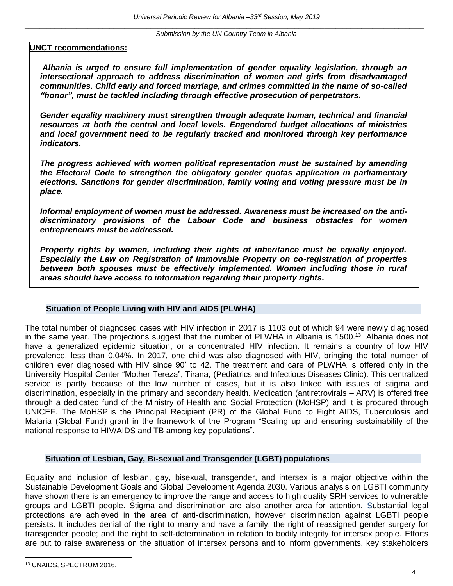#### **UNCT recommendations:**

*Albania is urged to ensure full implementation of gender equality legislation, through an intersectional approach to address discrimination of women and girls from disadvantaged communities. Child early and forced marriage, and crimes committed in the name of so-called "honor", must be tackled including through effective prosecution of perpetrators.*

*Gender equality machinery must strengthen through adequate human, technical and financial resources at both the central and local levels. Engendered budget allocations of ministries and local government need to be regularly tracked and monitored through key performance indicators.*

*The progress achieved with women political representation must be sustained by amending the Electoral Code to strengthen the obligatory gender quotas application in parliamentary elections. Sanctions for gender discrimination, family voting and voting pressure must be in place.* 

*Informal employment of women must be addressed. Awareness must be increased on the antidiscriminatory provisions of the Labour Code and business obstacles for women entrepreneurs must be addressed.* 

*Property rights by women, including their rights of inheritance must be equally enjoyed. Especially the Law on Registration of Immovable Property on co-registration of properties*  between both spouses must be effectively implemented. Women including those in rural *areas should have access to information regarding their property rights.* 

## **Situation of People Living with HIV and AIDS (PLWHA)**

<span id="page-4-0"></span>The total number of diagnosed cases with HIV infection in 2017 is 1103 out of which 94 were newly diagnosed in the same year. The projections suggest that the number of PLWHA in Albania is 1500.<sup>13</sup> Albania does not have a generalized epidemic situation, or a concentrated HIV infection. It remains a country of low HIV prevalence, less than 0.04%. In 2017, one child was also diagnosed with HIV, bringing the total number of children ever diagnosed with HIV since 90' to 42. The treatment and care of PLWHA is offered only in the University Hospital Center "Mother Tereza", Tirana, (Pediatrics and Infectious Diseases Clinic). This centralized service is partly because of the low number of cases, but it is also linked with issues of stigma and discrimination, especially in the primary and secondary health. Medication (antiretrovirals – ARV) is offered free through a dedicated fund of the Ministry of Health and Social Protection (MoHSP) and it is procured through UNICEF. The MoHSP is the Principal Recipient (PR) of the Global Fund to Fight AIDS, Tuberculosis and Malaria (Global Fund) grant in the framework of the Program "Scaling up and ensuring sustainability of the national response to HIV/AIDS and TB among key populations".

#### **Situation of Lesbian, Gay, Bi-sexual and Transgender (LGBT) populations**

Equality and inclusion of lesbian, gay, bisexual, transgender, and intersex is a major objective within the Sustainable Development Goals and Global Development Agenda 2030. Various analysis on LGBTI community have shown there is an emergency to improve the range and access to high quality SRH services to vulnerable groups and LGBTI people. Stigma and discrimination are also another area for attention. Substantial legal protections are achieved in the area of anti-discrimination, however discrimination against LGBTI people persists. It includes denial of the right to marry and have a family; the right of reassigned gender surgery for transgender people; and the right to self-determination in relation to bodily integrity for intersex people. Efforts are put to raise awareness on the situation of intersex persons and to inform governments, key stakeholders

<sup>13</sup> UNAIDS, SPECTRUM 2016.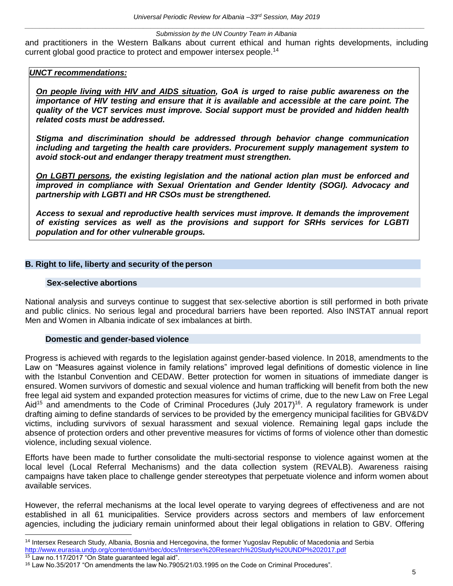and practitioners in the Western Balkans about current ethical and human rights developments, including current global good practice to protect and empower intersex people.<sup>14</sup>

## *UNCT recommendations:*

*On people living with HIV and AIDS situation, GoA is urged to raise public awareness on the importance of HIV testing and ensure that it is available and accessible at the care point. The quality of the VCT services must improve. Social support must be provided and hidden health related costs must be addressed.* 

*Stigma and discrimination should be addressed through behavior change communication including and targeting the health care providers. Procurement supply management system to avoid stock-out and endanger therapy treatment must strengthen.*

*On LGBTI persons, the existing legislation and the national action plan must be enforced and improved in compliance with Sexual Orientation and Gender Identity (SOGI). Advocacy and partnership with LGBTI and HR CSOs must be strengthened.* 

*Access to sexual and reproductive health services must improve. It demands the improvement of existing services as well as the provisions and support for SRHs services for LGBTI population and for other vulnerable groups.*

## <span id="page-5-1"></span><span id="page-5-0"></span>**B. Right to life, liberty and security of the person**

#### **Sex-selective abortions**

<span id="page-5-2"></span>National analysis and surveys continue to suggest that sex-selective abortion is still performed in both private and public clinics. No serious legal and procedural barriers have been reported. Also INSTAT annual report Men and Women in Albania indicate of sex imbalances at birth.

## **Domestic and gender-based violence**

<span id="page-5-3"></span>Progress is achieved with regards to the legislation against gender-based violence. In 2018, amendments to the Law on "Measures against violence in family relations" improved legal definitions of domestic violence in line with the Istanbul Convention and CEDAW. Better protection for women in situations of immediate danger is ensured. Women survivors of domestic and sexual violence and human trafficking will benefit from both the new free legal aid system and expanded protection measures for victims of crime, due to the new Law on Free Legal Aid<sup>15</sup> and amendments to the Code of Criminal Procedures (July 2017)<sup>16</sup>. A regulatory framework is under drafting aiming to define standards of services to be provided by the emergency municipal facilities for GBV&DV victims, including survivors of sexual harassment and sexual violence. Remaining legal gaps include the absence of protection orders and other preventive measures for victims of forms of violence other than domestic violence, including sexual violence.

Efforts have been made to further consolidate the multi-sectorial response to violence against women at the local level (Local Referral Mechanisms) and the data collection system (REVALB). Awareness raising campaigns have taken place to challenge gender stereotypes that perpetuate violence and inform women about available services.

However, the referral mechanisms at the local level operate to varying degrees of effectiveness and are not established in all 61 municipalities. Service providers across sectors and members of law enforcement agencies, including the judiciary remain uninformed about their legal obligations in relation to GBV. Offering

<sup>&</sup>lt;sup>14</sup> Intersex Research Study, Albania, Bosnia and Hercegovina, the former Yugoslav Republic of Macedonia and Serbia <http://www.eurasia.undp.org/content/dam/rbec/docs/Intersex%20Research%20Study%20UNDP%202017.pdf> <sup>15</sup> Law no.117/2017 "On State guaranteed legal aid".

<sup>16</sup> Law No.35/2017 "On amendments the law No.7905/21/03.1995 on the Code on Criminal Procedures".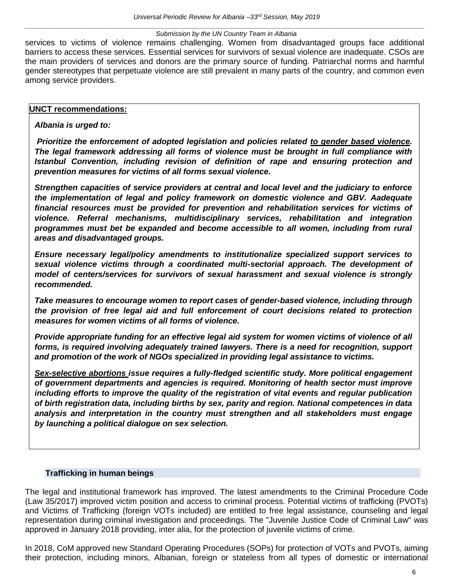services to victims of violence remains challenging. Women from disadvantaged groups face additional barriers to access these services. Essential services for survivors of sexual violence are inadequate. CSOs are the main providers of services and donors are the primary source of funding. Patriarchal norms and harmful gender stereotypes that perpetuate violence are still prevalent in many parts of the country, and common even among service providers.

## **UNCT recommendations:**

## *Albania is urged to:*

*Prioritize the enforcement of adopted legislation and policies related to gender based violence. The legal framework addressing all forms of violence must be brought in full compliance with Istanbul Convention, including revision of definition of rape and ensuring protection and prevention measures for victims of all forms sexual violence.*

*Strengthen capacities of service providers at central and local level and the judiciary to enforce the implementation of legal and policy framework on domestic violence and GBV. Aadequate financial resources must be provided for prevention and rehabilitation services for victims of violence. Referral mechanisms, multidisciplinary services, rehabilitation and integration programmes must bet be expanded and become accessible to all women, including from rural areas and disadvantaged groups.* 

*Ensure necessary legal/policy amendments to institutionalize specialized support services to sexual violence victims through a coordinated multi-sectorial approach. The development of model of centers/services for survivors of sexual harassment and sexual violence is strongly recommended.* 

*Take measures to encourage women to report cases of gender-based violence, including through the provision of free legal aid and full enforcement of court decisions related to protection measures for women victims of all forms of violence.* 

*Provide appropriate funding for an effective legal aid system for women victims of violence of all forms, is required involving adequately trained lawyers. There is a need for recognition, support and promotion of the work of NGOs specialized in providing legal assistance to victims.*

*Sex-selective abortions issue requires a fully-fledged scientific study. More political engagement of government departments and agencies is required. Monitoring of health sector must improve including efforts to improve the quality of the registration of vital events and regular publication of birth registration data, including births by sex, parity and region. National competences in data analysis and interpretation in the country must strengthen and all stakeholders must engage by launching a political dialogue on sex selection.*

## **Trafficking in human beings**

<span id="page-6-0"></span>The legal and institutional framework has improved. The latest amendments to the Criminal Procedure Code (Law 35/2017) improved victim position and access to criminal process. Potential victims of trafficking (PVOTs) and Victims of Trafficking (foreign VOTs included) are entitled to free legal assistance, counseling and legal representation during criminal investigation and proceedings. The "Juvenile Justice Code of Criminal Law" was approved in January 2018 providing, inter alia, for the protection of juvenile victims of crime.

In 2018, CoM approved new Standard Operating Procedures (SOPs) for protection of VOTs and PVOTs, aiming their protection, including minors, Albanian, foreign or stateless from all types of domestic or international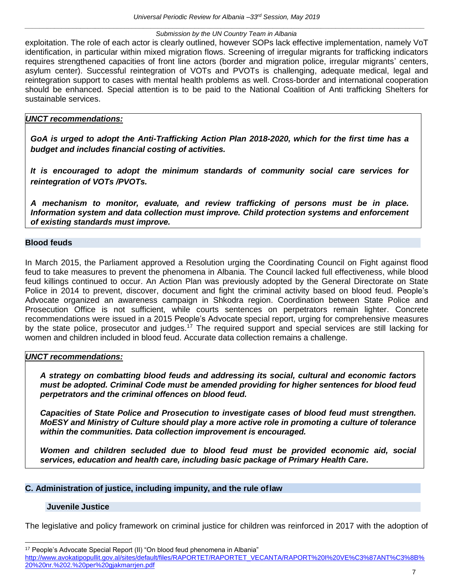exploitation. The role of each actor is clearly outlined, however SOPs lack effective implementation, namely VoT identification, in particular within mixed migration flows. Screening of irregular migrants for trafficking indicators requires strengthened capacities of front line actors (border and migration police, irregular migrants' centers, asylum center). Successful reintegration of VOTs and PVOTs is challenging, adequate medical, legal and reintegration support to cases with mental health problems as well. Cross-border and international cooperation should be enhanced. Special attention is to be paid to the National Coalition of Anti trafficking Shelters for sustainable services.

## *UNCT recommendations:*

*GoA is urged to adopt the Anti-Trafficking Action Plan 2018-2020, which for the first time has a budget and includes financial costing of activities.*

*It is encouraged to adopt the minimum standards of community social care services for reintegration of VOTs /PVOTs.* 

*A mechanism to monitor, evaluate, and review trafficking of persons must be in place. Information system and data collection must improve. Child protection systems and enforcement of existing standards must improve.*

## <span id="page-7-0"></span>**Blood feuds**

In March 2015, the Parliament approved a Resolution urging the Coordinating Council on Fight against flood feud to take measures to prevent the phenomena in Albania. The Council lacked full effectiveness, while blood feud killings continued to occur. An Action Plan was previously adopted by the General Directorate on State Police in 2014 to prevent, discover, document and fight the criminal activity based on blood feud. People's Advocate organized an awareness campaign in Shkodra region. Coordination between State Police and Prosecution Office is not sufficient, while courts sentences on perpetrators remain lighter. Concrete recommendations were issued in a 2015 People's Advocate special report, urging for comprehensive measures by the state police, prosecutor and judges.<sup>17</sup> The required support and special services are still lacking for women and children included in blood feud. Accurate data collection remains a challenge.

## *UNCT recommendations:*

*A strategy on combatting blood feuds and addressing its social, cultural and economic factors must be adopted. Criminal Code must be amended providing for higher sentences for blood feud perpetrators and the criminal offences on blood feud.* 

*Capacities of State Police and Prosecution to investigate cases of blood feud must strengthen. MoESY and Ministry of Culture should play a more active role in promoting a culture of tolerance within the communities. Data collection improvement is encouraged.*

*Women and children secluded due to blood feud must be provided economic aid, social services, education and health care, including basic package of Primary Health Care.*

## <span id="page-7-1"></span>**C. Administration of justice, including impunity, and the rule oflaw**

## <span id="page-7-2"></span>**Juvenile Justice**

 $\overline{a}$ 

The legislative and policy framework on criminal justice for children was reinforced in 2017 with the adoption of

<sup>&</sup>lt;sup>17</sup> People's Advocate Special Report (II) "On blood feud phenomena in Albania" [http://www.avokatipopullit.gov.al/sites/default/files/RAPORTET/RAPORTET\\_VECANTA/RAPORT%20I%20VE%C3%87ANT%C3%8B%](http://www.avokatipopullit.gov.al/sites/default/files/RAPORTET/RAPORTET_VECANTA/RAPORT%20I%20VE%C3%87ANT%C3%8B%20%20nr.%202.%20per%20gjakmarrjen.pdf) [20%20nr.%202.%20per%20gjakmarrjen.pdf](http://www.avokatipopullit.gov.al/sites/default/files/RAPORTET/RAPORTET_VECANTA/RAPORT%20I%20VE%C3%87ANT%C3%8B%20%20nr.%202.%20per%20gjakmarrjen.pdf)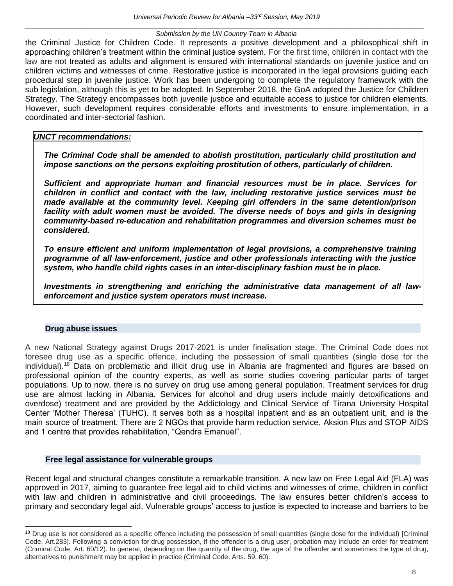the Criminal Justice for Children Code. It represents a positive development and a philosophical shift in approaching children's treatment within the criminal justice system. For the first time, children in contact with the law are not treated as adults and alignment is ensured with international standards on juvenile justice and on children victims and witnesses of crime. Restorative justice is incorporated in the legal provisions guiding each procedural step in juvenile justice. Work has been undergoing to complete the regulatory framework with the sub legislation, although this is yet to be adopted. In September 2018, the GoA adopted the Justice for Children Strategy. The Strategy encompasses both juvenile justice and equitable access to justice for children elements. However, such development requires considerable efforts and investments to ensure implementation, in a coordinated and inter-sectorial fashion.

## *UNCT recommendations:*

*The Criminal Code shall be amended to abolish prostitution, particularly child prostitution and impose sanctions on the persons exploiting prostitution of others, particularly of children.*

*Sufficient and appropriate human and financial resources must be in place. Services for children in conflict and contact with the law, including restorative justice services must be made available at the community level. Keeping girl offenders in the same detention/prison facility with adult women must be avoided. The diverse needs of boys and girls in designing community-based re-education and rehabilitation programmes and diversion schemes must be considered.*

*To ensure efficient and uniform implementation of legal provisions, a comprehensive training programme of all law-enforcement, justice and other professionals interacting with the justice system, who handle child rights cases in an inter-disciplinary fashion must be in place.* 

*Investments in strengthening and enriching the administrative data management of all lawenforcement and justice system operators must increase.*

## **Drug abuse issues**

<span id="page-8-0"></span>A new National Strategy against Drugs 2017-2021 is under finalisation stage. The Criminal Code does not foresee drug use as a specific offence, including the possession of small quantities (single dose for the individual).<sup>18</sup> Data on problematic and illicit drug use in Albania are fragmented and figures are based on professional opinion of the country experts, as well as some studies covering particular parts of target populations. Up to now, there is no survey on drug use among general population. Treatment services for drug use are almost lacking in Albania. Services for alcohol and drug users include mainly detoxifications and overdose) treatment and are provided by the Addictology and Clinical Service of Tirana University Hospital Center 'Mother Theresa' (TUHC). It serves both as a hospital inpatient and as an outpatient unit, and is the main source of treatment. There are 2 NGOs that provide harm reduction service, Aksion Plus and STOP AIDS and 1 centre that provides rehabilitation, "Qendra Emanuel".

## **Free legal assistance for vulnerable groups**

Recent legal and structural changes constitute a remarkable transition. A new law on Free Legal Aid (FLA) was approved in 2017, aiming to guarantee free legal aid to child victims and witnesses of crime, children in conflict with law and children in administrative and civil proceedings. The law ensures better children's access to primary and secondary legal aid. Vulnerable groups' access to justice is expected to increase and barriers to be

<sup>&</sup>lt;sup>18</sup> Drug use is not considered as a specific offence including the possession of small quantities (single dose for the individual) [Criminal Code, Art.283]. Following a conviction for drug possession, if the offender is a drug user, probation may include an order for treatment (Criminal Code, Art. 60/12). In general, depending on the quantity of the drug, the age of the offender and sometimes the type of drug, alternatives to punishment may be applied in practice (Criminal Code, Arts. 59, 60).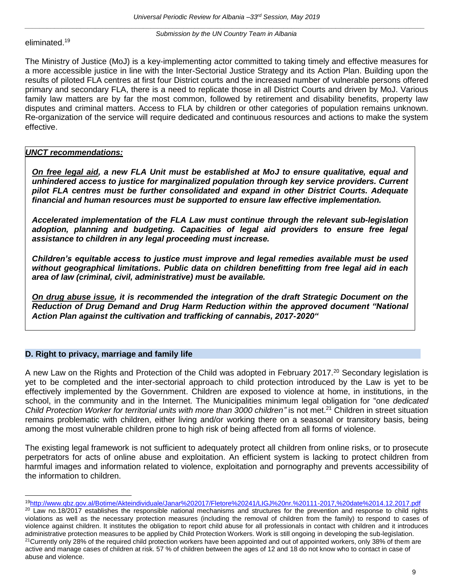eliminated.<sup>19</sup>

The Ministry of Justice (MoJ) is a key-implementing actor committed to taking timely and effective measures for a more accessible justice in line with the Inter-Sectorial Justice Strategy and its Action Plan. Building upon the results of piloted FLA centres at first four District courts and the increased number of vulnerable persons offered primary and secondary FLA, there is a need to replicate those in all District Courts and driven by MoJ. Various family law matters are by far the most common, followed by retirement and disability benefits, property law disputes and criminal matters. Access to FLA by children or other categories of population remains unknown. Re-organization of the service will require dedicated and continuous resources and actions to make the system effective.

## *UNCT recommendations:*

*On free legal aid, a new FLA Unit must be established at MoJ to ensure qualitative, equal and unhindered access to justice for marginalized population through key service providers. Current pilot FLA centres must be further consolidated and expand in other District Courts. Adequate financial and human resources must be supported to ensure law effective implementation.*

*Accelerated implementation of the FLA Law must continue through the relevant sub-legislation adoption, planning and budgeting. Capacities of legal aid providers to ensure free legal assistance to children in any legal proceeding must increase.*

*Children's equitable access to justice must improve and legal remedies available must be used without geographical limitations. Public data on children benefitting from free legal aid in each area of law (criminal, civil, administrative) must be available.* 

*On drug abuse issue, it is recommended the integration of the draft Strategic Document on the Reduction of Drug Demand and Drug Harm Reduction within the approved document "National Action Plan against the cultivation and trafficking of cannabis, 2017-2020"*

## <span id="page-9-0"></span>**D. Right to privacy, marriage and family life**

A new Law on the Rights and Protection of the Child was adopted in February 2017.<sup>20</sup> Secondary legislation is yet to be completed and the inter-sectorial approach to child protection introduced by the Law is yet to be effectively implemented by the Government. Children are exposed to violence at home, in institutions, in the school, in the community and in the Internet. The Municipalities minimum legal obligation for "one *dedicated*  Child Protection Worker for territorial units with more than 3000 children" is not met.<sup>21</sup> Children in street situation remains problematic with children, either living and/or working there on a seasonal or transitory basis, being among the most vulnerable children prone to high risk of being affected from all forms of violence.

The existing legal framework is not sufficient to adequately protect all children from online risks, or to prosecute perpetrators for acts of online abuse and exploitation. An efficient system is lacking to protect children from harmful images and information related to violence, exploitation and pornography and prevents accessibility of the information to children.

<sup>19</sup><http://www.qbz.gov.al/Botime/Akteindividuale/Janar%202017/Fletore%20241/LIGJ%20nr.%20111-2017,%20date%2014.12.2017.pdf>

<sup>&</sup>lt;sup>20</sup> Law no.18/2017 establishes the responsible national mechanisms and structures for the prevention and response to child rights violations as well as the necessary protection measures (including the removal of children from the family) to respond to cases of violence against children. It institutes the obligation to report child abuse for all professionals in contact with children and it introduces administrative protection measures to be applied by Child Protection Workers. Work is still ongoing in developing the sub-legislation. <sup>21</sup>Currently only 28% of the required child protection workers have been appointed and out of appointed workers, only 38% of them are active and manage cases of children at risk. 57 % of children between the ages of 12 and 18 do not know who to contact in case of abuse and violence.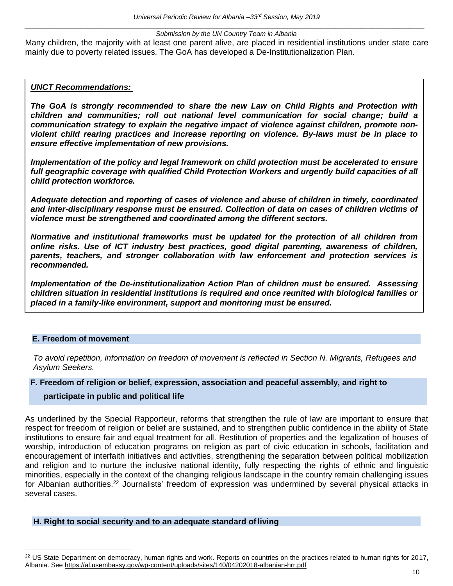Many children, the majority with at least one parent alive, are placed in residential institutions under state care mainly due to poverty related issues. The GoA has developed a De-Institutionalization Plan.

## *UNCT Recommendations:*

*The GoA is strongly recommended to share the new Law on Child Rights and Protection with children and communities; roll out national level communication for social change; build a communication strategy to explain the negative impact of violence against children, promote nonviolent child rearing practices and increase reporting on violence. By-laws must be in place to ensure effective implementation of new provisions.* 

*Implementation of the policy and legal framework on child protection must be accelerated to ensure full geographic coverage with qualified Child Protection Workers and urgently build capacities of all child protection workforce.*

*Adequate detection and reporting of cases of violence and abuse of children in timely, coordinated and inter-disciplinary response must be ensured. Collection of data on cases of children victims of violence must be strengthened and coordinated among the different sectors.* 

*Normative and institutional frameworks must be updated for the protection of all children from online risks. Use of ICT industry best practices, good digital parenting, awareness of children, parents, teachers, and stronger collaboration with law enforcement and protection services is recommended.*

*Implementation of the De-institutionalization Action Plan of children must be ensured. Assessing children situation in residential institutions is required and once reunited with biological families or placed in a family-like environment, support and monitoring must be ensured.*

#### <span id="page-10-0"></span>**E. Freedom of movement**

*To avoid repetition, information on freedom of movement is reflected in Section N. Migrants, Refugees and Asylum Seekers.*

## **F. Freedom of religion or belief, expression, association and peaceful assembly, and right to**

#### **participate in public and political life**

As underlined by the Special Rapporteur, reforms that strengthen the rule of law are important to ensure that respect for freedom of religion or belief are sustained, and to strengthen public confidence in the ability of State institutions to ensure fair and equal treatment for all. Restitution of properties and the legalization of houses of worship, introduction of education programs on religion as part of civic education in schools, facilitation and encouragement of interfaith initiatives and activities, strengthening the separation between political mobilization and religion and to nurture the inclusive national identity, fully respecting the rights of ethnic and linguistic minorities, especially in the context of the changing religious landscape in the country remain challenging issues for Albanian authorities.<sup>22</sup> Journalists' freedom of expression was undermined by several physical attacks in several cases.

#### <span id="page-10-1"></span>**H. Right to social security and to an adequate standard ofliving**

<sup>&</sup>lt;sup>22</sup> US State Department on democracy, human rights and work. Reports on countries on the practices related to human rights for 2017, Albania. See [https://al.usembassy.gov/wp-content/uploads/sites/140/04202018-albanian-hrr.pdf](https://al.usembassy.gov/wp-content/uploads/sites/140/04202018-Albanian-HRR.pdf)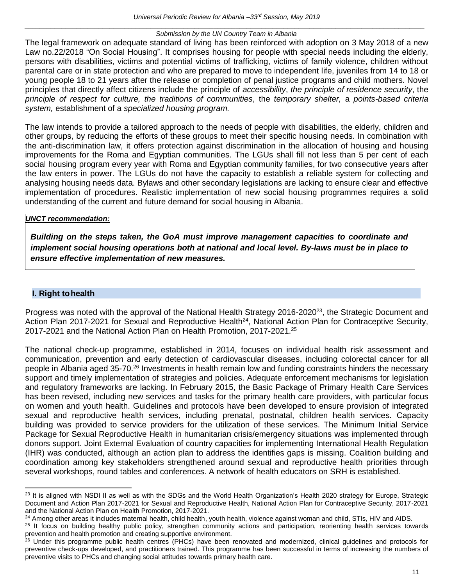<span id="page-11-0"></span>The legal framework on adequate standard of living has been reinforced with adoption on 3 May 2018 of a new Law no.22/2018 "On Social Housing". It comprises housing for people with special needs including the elderly, persons with disabilities, victims and potential victims of trafficking, victims of family violence, children without parental care or in state protection and who are prepared to move to independent life, juveniles from 14 to 18 or young people 18 to 21 years after the release or completion of penal justice programs and child mothers. Novel principles that directly affect citizens include the principle of *accessibility*, *the principle of residence security*, the *principle of respect for culture, the traditions of communities*, the *temporary shelter,* a *points-based criteria system,* establishment of a *specialized housing program.*

The law intends to provide a tailored approach to the needs of people with disabilities, the elderly, children and other groups, by reducing the efforts of these groups to meet their specific housing needs. In combination with the anti-discrimination law, it offers protection against discrimination in the allocation of housing and housing improvements for the Roma and Egyptian communities. The LGUs shall fill not less than 5 per cent of each social housing program every year with Roma and Egyptian community families, for two consecutive years after the law enters in power. The LGUs do not have the capacity to establish a reliable system for collecting and analysing housing needs data. Bylaws and other secondary legislations are lacking to ensure clear and effective implementation of procedures. Realistic implementation of new social housing programmes requires a solid understanding of the current and future demand for social housing in Albania.

## *UNCT recommendation:*

*Building on the steps taken, the GoA must improve management capacities to coordinate and implement social housing operations both at national and local level. By-laws must be in place to ensure effective implementation of new measures.*

# **I. Right tohealth**

Progress was noted with the approval of the National Health Strategy 2016-2020<sup>23</sup>, the Strategic Document and Action Plan 2017-2021 for Sexual and Reproductive Health<sup>24</sup>, National Action Plan for Contraceptive Security, 2017-2021 and the National Action Plan on Health Promotion, 2017-2021. 25

The national check-up programme, established in 2014, focuses on individual health risk assessment and communication, prevention and early detection of cardiovascular diseases, including colorectal cancer for all people in Albania aged 35-70.<sup>26</sup> Investments in health remain low and funding constraints hinders the necessary support and timely implementation of strategies and policies. Adequate enforcement mechanisms for legislation and regulatory frameworks are lacking. In February 2015, the Basic Package of Primary Health Care Services has been revised, including new services and tasks for the primary health care providers, with particular focus on women and youth health. Guidelines and protocols have been developed to ensure provision of integrated sexual and reproductive health services, including prenatal, postnatal, children health services. Capacity building was provided to service providers for the utilization of these services. The Minimum Initial Service Package for Sexual Reproductive Health in humanitarian crisis/emergency situations was implemented through donors support. Joint External Evaluation of country capacities for implementing International Health Regulation (IHR) was conducted, although an action plan to address the identifies gaps is missing. Coalition building and coordination among key stakeholders strengthened around sexual and reproductive health priorities through several workshops, round tables and conferences. A network of health educators on SRH is established.

<sup>&</sup>lt;sup>23</sup> It is aligned with NSDI II as well as with the SDGs and the World Health Organization's Health 2020 strategy for Europe, Strategic Document and Action Plan 2017-2021 for Sexual and Reproductive Health, National Action Plan for Contraceptive Security, 2017-2021 and the National Action Plan on Health Promotion, 2017-2021.

<sup>&</sup>lt;sup>24</sup> Among other areas it includes maternal health, child health, youth health, violence against woman and child, STIs, HIV and AIDS.

<sup>&</sup>lt;sup>25</sup> It focus on building healthy public policy, strengthen community actions and participation, reorienting health services towards prevention and health promotion and creating supportive environment.

<sup>&</sup>lt;sup>26</sup> Under this programme public health centres (PHCs) have been renovated and modernized, clinical guidelines and protocols for preventive check-ups developed, and practitioners trained. This programme has been successful in terms of increasing the numbers of preventive visits to PHCs and changing social attitudes towards primary health care.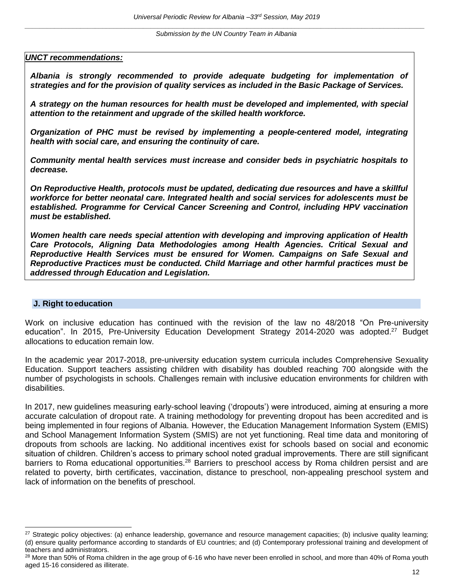*UNCT recommendations:*

*Albania is strongly recommended to provide adequate budgeting for implementation of strategies and for the provision of quality services as included in the Basic Package of Services.*

*A strategy on the human resources for health must be developed and implemented, with special attention to the retainment and upgrade of the skilled health workforce.*

*Organization of PHC must be revised by implementing a people-centered model, integrating health with social care, and ensuring the continuity of care.*

*Community mental health services must increase and consider beds in psychiatric hospitals to decrease.*

*On Reproductive Health, protocols must be updated, dedicating due resources and have a skillful workforce for better neonatal care. Integrated health and social services for adolescents must be established. Programme for Cervical Cancer Screening and Control, including HPV vaccination must be established.*

*Women health care needs special attention with developing and improving application of Health Care Protocols, Aligning Data Methodologies among Health Agencies. Critical Sexual and Reproductive Health Services must be ensured for Women. Campaigns on Safe Sexual and Reproductive Practices must be conducted. Child Marriage and other harmful practices must be addressed through Education and Legislation.*

## <span id="page-12-0"></span>**J. Right toeducation**

 $\overline{a}$ 

<span id="page-12-1"></span>Work on inclusive education has continued with the revision of the law no 48/2018 "On Pre-university education". In 2015, Pre-University Education Development Strategy 2014-2020 was adopted.<sup>27</sup> Budget allocations to education remain low.

In the academic year 2017-2018, pre-university education system curricula includes Comprehensive Sexuality Education. Support teachers assisting children with disability has doubled reaching 700 alongside with the number of psychologists in schools. Challenges remain with inclusive education environments for children with disabilities.

In 2017, new guidelines measuring early-school leaving ('dropouts') were introduced, aiming at ensuring a more accurate calculation of dropout rate. A training methodology for preventing dropout has been accredited and is being implemented in four regions of Albania. However, the Education Management Information System (EMIS) and School Management Information System (SMIS) are not yet functioning. Real time data and monitoring of dropouts from schools are lacking. No additional incentives exist for schools based on social and economic situation of children. Children's access to primary school noted gradual improvements. There are still significant barriers to Roma educational opportunities.<sup>28</sup> Barriers to preschool access by Roma children persist and are related to poverty, birth certificates, vaccination, distance to preschool, non-appealing preschool system and lack of information on the benefits of preschool.

<sup>&</sup>lt;sup>27</sup> Strategic policy objectives: (a) enhance leadership, governance and resource management capacities; (b) inclusive quality learning; (d) ensure quality performance according to standards of EU countries; and (d) Contemporary professional training and development of teachers and administrators.

<sup>&</sup>lt;sup>28</sup> More than 50% of Roma children in the age group of 6-16 who have never been enrolled in school, and more than 40% of Roma youth aged 15-16 considered as illiterate.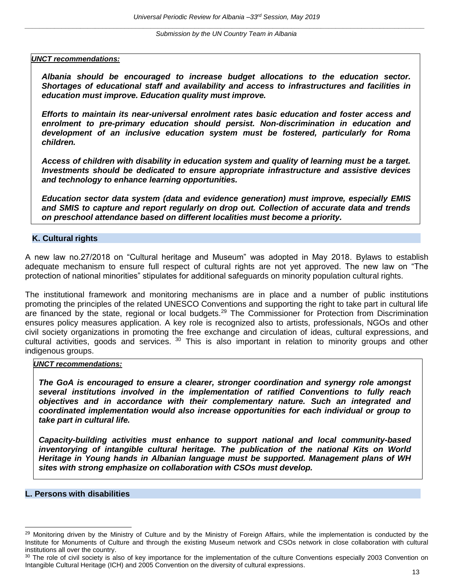#### *UNCT recommendations:*

*Albania should be encouraged to increase budget allocations to the education sector. Shortages of educational staff and availability and access to infrastructures and facilities in education must improve. Education quality must improve.*

*Efforts to maintain its near-universal enrolment rates basic education and foster access and enrolment to pre-primary education should persist. Non-discrimination in education and development of an inclusive education system must be fostered, particularly for Roma children.*

*Access of children with disability in education system and quality of learning must be a target. Investments should be dedicated to ensure appropriate infrastructure and assistive devices and technology to enhance learning opportunities.*

*Education sector data system (data and evidence generation) must improve, especially EMIS and SMIS to capture and report regularly on drop out. Collection of accurate data and trends on preschool attendance based on different localities must become a priority.* 

#### **K. Cultural rights**

A new law no.27/2018 on "Cultural heritage and Museum" was adopted in May 2018. Bylaws to establish adequate mechanism to ensure full respect of cultural rights are not yet approved. The new law on "The protection of national minorities" stipulates for additional safeguards on minority population cultural rights.

The institutional framework and monitoring mechanisms are in place and a number of public institutions promoting the principles of the related UNESCO Conventions and supporting the right to take part in cultural life are financed by the state, regional or local budgets.<sup>29</sup> The Commissioner for Protection from Discrimination ensures policy measures application. A key role is recognized also to artists, professionals, NGOs and other civil society organizations in promoting the free exchange and circulation of ideas, cultural expressions, and cultural activities, goods and services. <sup>30</sup> This is also important in relation to minority groups and other indigenous groups.

#### <span id="page-13-0"></span>*UNCT recommendations:*

*The GoA is encouraged to ensure a clearer, stronger coordination and synergy role amongst several institutions involved in the implementation of ratified Conventions to fully reach objectives and in accordance with their complementary nature. Such an integrated and coordinated implementation would also increase opportunities for each individual or group to take part in cultural life.* 

*Capacity-building activities must enhance to support national and local community-based inventorying of intangible cultural heritage. The publication of the national Kits on World Heritage in Young hands in Albanian language must be supported. Management plans of WH sites with strong emphasize on collaboration with CSOs must develop.*

#### **L. Persons with disabilities**

 $\overline{a}$ 

<sup>&</sup>lt;sup>29</sup> Monitoring driven by the Ministry of Culture and by the Ministry of Foreign Affairs, while the implementation is conducted by the Institute for Monuments of Culture and through the existing Museum network and CSOs network in close collaboration with cultural institutions all over the country.

<sup>&</sup>lt;sup>30</sup> The role of civil society is also of key importance for the implementation of the culture Conventions especially 2003 Convention on Intangible Cultural Heritage (ICH) and 2005 Convention on the diversity of cultural expressions.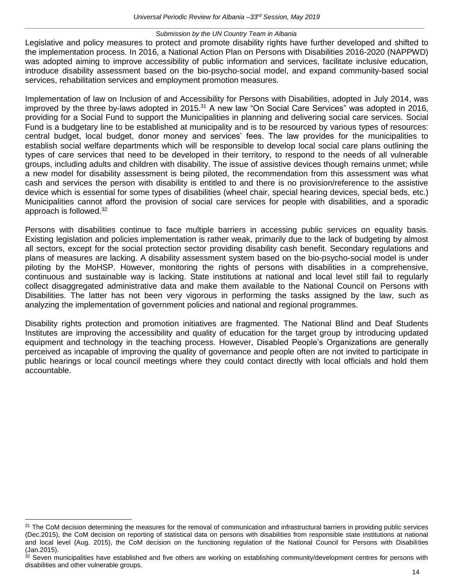Legislative and policy measures to protect and promote disability rights have further developed and shifted to the implementation process. In 2016, a National Action Plan on Persons with Disabilities 2016-2020 (NAPPWD) was adopted aiming to improve accessibility of public information and services, facilitate inclusive education, introduce disability assessment based on the bio-psycho-social model, and expand community-based social services, rehabilitation services and employment promotion measures.

Implementation of law on Inclusion of and Accessibility for Persons with Disabilities, adopted in July 2014, was improved by the three by-laws adopted in 2015.<sup>31</sup> A new law "On Social Care Services" was adopted in 2016, providing for a Social Fund to support the Municipalities in planning and delivering social care services. Social Fund is a budgetary line to be established at municipality and is to be resourced by various types of resources: central budget, local budget, donor money and services' fees. The law provides for the municipalities to establish social welfare departments which will be responsible to develop local social care plans outlining the types of care services that need to be developed in their territory, to respond to the needs of all vulnerable groups, including adults and children with disability. The issue of assistive devices though remains unmet; while a new model for disability assessment is being piloted, the recommendation from this assessment was what cash and services the person with disability is entitled to and there is no provision/reference to the assistive device which is essential for some types of disabilities (wheel chair, special hearing devices, special beds, etc.) Municipalities cannot afford the provision of social care services for people with disabilities, and a sporadic approach is followed.<sup>32</sup>

Persons with disabilities continue to face multiple barriers in accessing public services on equality basis. Existing legislation and policies implementation is rather weak, primarily due to the lack of budgeting by almost all sectors, except for the social protection sector providing disability cash benefit. Secondary regulations and plans of measures are lacking. A disability assessment system based on the bio-psycho-social model is under piloting by the MoHSP. However, monitoring the rights of persons with disabilities in a comprehensive, continuous and sustainable way is lacking. State institutions at national and local level still fail to regularly collect disaggregated administrative data and make them available to the National Council on Persons with Disabilities. The latter has not been very vigorous in performing the tasks assigned by the law, such as analyzing the implementation of government policies and national and regional programmes.

Disability rights protection and promotion initiatives are fragmented. The National Blind and Deaf Students Institutes are improving the accessibility and quality of education for the target group by introducing updated equipment and technology in the teaching process. However, Disabled People's Organizations are generally perceived as incapable of improving the quality of governance and people often are not invited to participate in public hearings or local council meetings where they could contact directly with local officials and hold them accountable.

 $\overline{a}$ <sup>31</sup> The CoM decision determining the measures for the removal of communication and infrastructural barriers in providing public services (Dec.2015), the CoM decision on reporting of statistical data on persons with disabilities from responsible state institutions at national and local level (Aug. 2015), the CoM decision on the functioning regulation of the National Council for Persons with Disabilities (Jan.2015).

 $32$  Seven municipalities have established and five others are working on establishing community/development centres for persons with disabilities and other vulnerable groups.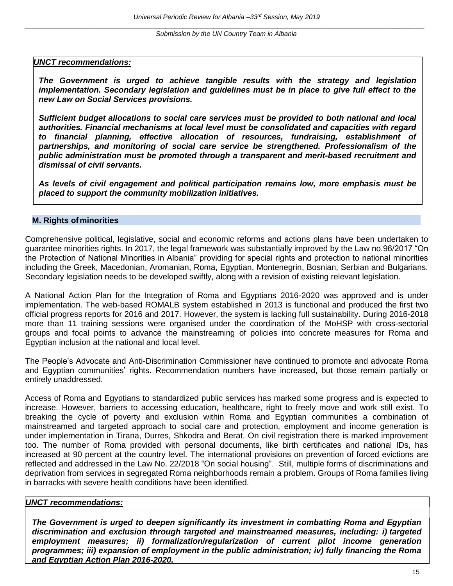*Submission by the UN Country Team in Albania*

## <span id="page-15-0"></span>*UNCT recommendations:*

*The Government is urged to achieve tangible results with the strategy and legislation implementation. Secondary legislation and guidelines must be in place to give full effect to the new Law on Social Services provisions.*

*Sufficient budget allocations to social care services must be provided to both national and local authorities. Financial mechanisms at local level must be consolidated and capacities with regard to financial planning, effective allocation of resources, fundraising, establishment of partnerships, and monitoring of social care service be strengthened. Professionalism of the public administration must be promoted through a transparent and merit-based recruitment and dismissal of civil servants.* 

*As levels of civil engagement and political participation remains low, more emphasis must be placed to support the community mobilization initiatives.* 

## **M. Rights ofminorities**

Comprehensive political, legislative, social and economic reforms and actions plans have been undertaken to guarantee minorities rights. In 2017, the legal framework was substantially improved by the Law no.96/2017 "On the Protection of National Minorities in Albania" providing for special rights and protection to national minorities including the Greek, Macedonian, Aromanian, Roma, Egyptian, Montenegrin, Bosnian, Serbian and Bulgarians. Secondary legislation needs to be developed swiftly, along with a revision of existing relevant legislation.

A National Action Plan for the Integration of Roma and Egyptians 2016-2020 was approved and is under implementation. The web-based ROMALB system established in 2013 is functional and produced the first two official progress reports for 2016 and 2017. However, the system is lacking full sustainability. During 2016-2018 more than 11 training sessions were organised under the coordination of the MoHSP with cross-sectorial groups and focal points to advance the mainstreaming of policies into concrete measures for Roma and Egyptian inclusion at the national and local level.

The People's Advocate and Anti-Discrimination Commissioner have continued to promote and advocate Roma and Egyptian communities' rights. Recommendation numbers have increased, but those remain partially or entirely unaddressed.

Access of Roma and Egyptians to standardized public services has marked some progress and is expected to increase. However, barriers to accessing education, healthcare, right to freely move and work still exist. To breaking the cycle of poverty and exclusion within Roma and Egyptian communities a combination of mainstreamed and targeted approach to social care and protection, employment and income generation is under implementation in Tirana, Durres, Shkodra and Berat. On civil registration there is marked improvement too. The number of Roma provided with personal documents, like birth certificates and national IDs, has increased at 90 percent at the country level. The international provisions on prevention of forced evictions are reflected and addressed in the Law No. 22/2018 "On social housing". Still, multiple forms of discriminations and deprivation from services in segregated Roma neighborhoods remain a problem. Groups of Roma families living in barracks with severe health conditions have been identified.

## *UNCT recommendations:*

*The Government is urged to deepen significantly its investment in combatting Roma and Egyptian discrimination and exclusion through targeted and mainstreamed measures, including: i) targeted employment measures; ii) formalization/regularization of current pilot income generation programmes; iii) expansion of employment in the public administration; iv) fully financing the Roma and Egyptian Action Plan 2016-2020.*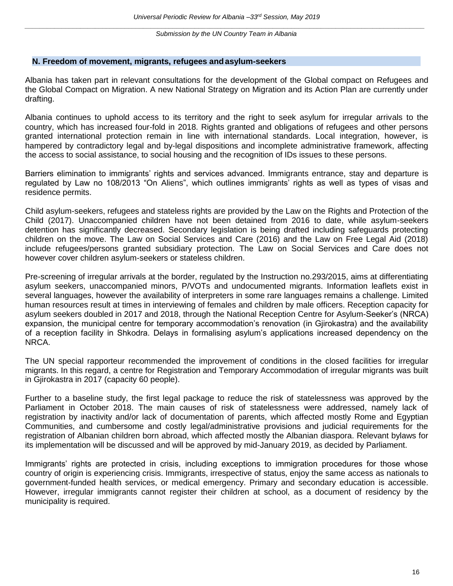#### <span id="page-16-0"></span>**N. Freedom of movement, migrants, refugees andasylum-seekers**

<span id="page-16-1"></span>Albania has taken part in relevant consultations for the development of the Global compact on Refugees and the Global Compact on Migration. A new National Strategy on Migration and its Action Plan are currently under drafting.

Albania continues to uphold access to its territory and the right to seek asylum for irregular arrivals to the country, which has increased four-fold in 2018. Rights granted and obligations of refugees and other persons granted international protection remain in line with international standards. Local integration, however, is hampered by contradictory legal and by-legal dispositions and incomplete administrative framework, affecting the access to social assistance, to social housing and the recognition of IDs issues to these persons.

Barriers elimination to immigrants' rights and services advanced. Immigrants entrance, stay and departure is regulated by Law no 108/2013 "On Aliens", which outlines immigrants' rights as well as types of visas and residence permits.

Child asylum-seekers, refugees and stateless rights are provided by the Law on the Rights and Protection of the Child (2017). Unaccompanied children have not been detained from 2016 to date, while asylum-seekers detention has significantly decreased. Secondary legislation is being drafted including safeguards protecting children on the move. The Law on Social Services and Care (2016) and the Law on Free Legal Aid (2018) include refugees/persons granted subsidiary protection. The Law on Social Services and Care does not however cover children asylum-seekers or stateless children.

Pre-screening of irregular arrivals at the border, regulated by the Instruction no.293/2015, aims at differentiating asylum seekers, unaccompanied minors, P/VOTs and undocumented migrants. Information leaflets exist in several languages, however the availability of interpreters in some rare languages remains a challenge. Limited human resources result at times in interviewing of females and children by male officers. Reception capacity for asylum seekers doubled in 2017 and 2018, through the National Reception Centre for Asylum-Seeker's (NRCA) expansion, the municipal centre for temporary accommodation's renovation (in Gjirokastra) and the availability of a reception facility in Shkodra. Delays in formalising asylum's applications increased dependency on the NRCA.

The UN special rapporteur recommended the improvement of conditions in the closed facilities for irregular migrants. In this regard, a centre for Registration and Temporary Accommodation of irregular migrants was built in Gjirokastra in 2017 (capacity 60 people).

Further to a baseline study, the first legal package to reduce the risk of statelessness was approved by the Parliament in October 2018. The main causes of risk of statelessness were addressed, namely lack of registration by inactivity and/or lack of documentation of parents, which affected mostly Rome and Egyptian Communities, and cumbersome and costly legal/administrative provisions and judicial requirements for the registration of Albanian children born abroad, which affected mostly the Albanian diaspora. Relevant bylaws for its implementation will be discussed and will be approved by mid-January 2019, as decided by Parliament.

Immigrants' rights are protected in crisis, including exceptions to immigration procedures for those whose country of origin is experiencing crisis. Immigrants, irrespective of status, enjoy the same access as nationals to government-funded health services, or medical emergency. Primary and secondary education is accessible. However, irregular immigrants cannot register their children at school, as a document of residency by the municipality is required.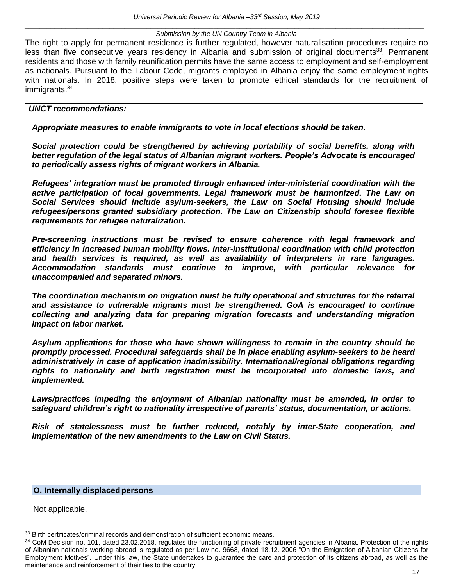The right to apply for permanent residence is further regulated, however naturalisation procedures require no less than five consecutive years residency in Albania and submission of original documents $33$ . Permanent residents and those with family reunification permits have the same access to employment and self-employment as nationals. Pursuant to the Labour Code, migrants employed in Albania enjoy the same employment rights with nationals. In 2018, positive steps were taken to promote ethical standards for the recruitment of immigrants.<sup>34</sup>

#### *UNCT recommendations:*

*Appropriate measures to enable immigrants to vote in local elections should be taken.* 

*Social protection could be strengthened by achieving portability of social benefits, along with better regulation of the legal status of Albanian migrant workers. People's Advocate is encouraged to periodically assess rights of migrant workers in Albania.* 

*Refugees' integration must be promoted through enhanced inter-ministerial coordination with the active participation of local governments. Legal framework must be harmonized. The Law on Social Services should include asylum-seekers, the Law on Social Housing should include refugees/persons granted subsidiary protection. The Law on Citizenship should foresee flexible requirements for refugee naturalization.*

*Pre-screening instructions must be revised to ensure coherence with legal framework and efficiency in increased human mobility flows. Inter-institutional coordination with child protection and health services is required, as well as availability of interpreters in rare languages. Accommodation standards must continue to improve, with particular relevance for unaccompanied and separated minors.* 

*The coordination mechanism on migration must be fully operational and structures for the referral and assistance to vulnerable migrants must be strengthened. GoA is encouraged to continue collecting and analyzing data for preparing migration forecasts and understanding migration impact on labor market.* 

*Asylum applications for those who have shown willingness to remain in the country should be promptly processed. Procedural safeguards shall be in place enabling asylum-seekers to be heard administratively in case of application inadmissibility. International/regional obligations regarding rights to nationality and birth registration must be incorporated into domestic laws, and implemented.* 

*Laws/practices impeding the enjoyment of Albanian nationality must be amended, in order to safeguard children's right to nationality irrespective of parents' status, documentation, or actions.*

*Risk of statelessness must be further reduced, notably by inter-State cooperation, and implementation of the new amendments to the Law on Civil Status.*

## **O. Internally displacedpersons**

<span id="page-17-0"></span>Not applicable.

 $\overline{a}$ 

<sup>&</sup>lt;sup>33</sup> Birth certificates/criminal records and demonstration of sufficient economic means.

<sup>34</sup> CoM Decision no. 101, dated 23.02.2018, regulates the functioning of private recruitment agencies in Albania. Protection of the rights of Albanian nationals working abroad is regulated as per Law no. 9668, dated 18.12. 2006 "On the Emigration of Albanian Citizens for Employment Motives". Under this law, the State undertakes to guarantee the care and protection of its citizens abroad, as well as the maintenance and reinforcement of their ties to the country.